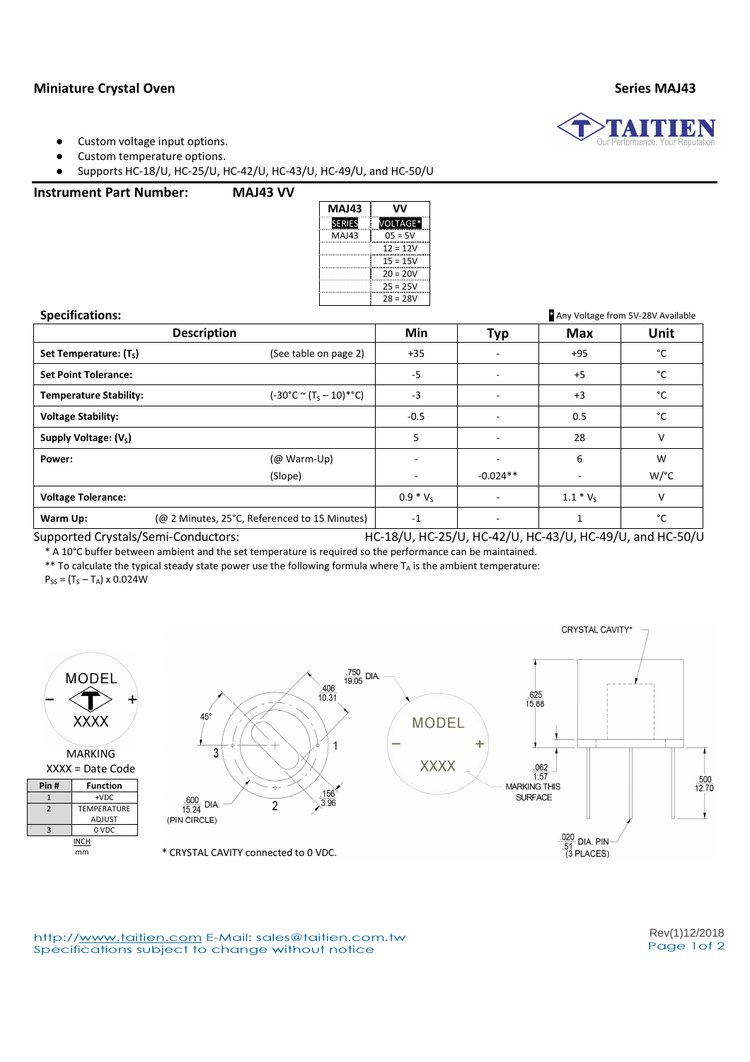## Miniature Crystal Oven Series MAJ43

- Custom voltage input options.
- Custom temperature options.

● Supports HC-18/U, HC-25/U, HC-42/U, HC-43/U, HC-49/U, and HC-50/U

### Instrument Part Number: MAJ43 VV

| MAJ43         | w          |  |  |  |  |
|---------------|------------|--|--|--|--|
| <b>SERIES</b> | VOLTAGE*   |  |  |  |  |
| MA143         | $05 = 5V$  |  |  |  |  |
|               | $12 = 12V$ |  |  |  |  |
|               | 15 = 15V   |  |  |  |  |
|               | $20 = 20V$ |  |  |  |  |
|               | $25 = 25V$ |  |  |  |  |
|               | $28 = 28V$ |  |  |  |  |

Specifications: \* Any Voltage from 5V-28V Available Description **Nin** Min | Typ | Max | Unit Set Temperature:  $(T<sub>s</sub>)$ (See table on page 2)  $\begin{vmatrix} +35 \end{vmatrix}$  -  $\begin{vmatrix} +95 \end{vmatrix}$  +95  $\begin{vmatrix} \circ \mathsf{C} \end{vmatrix}$ Set Point Tolerance:  $\begin{array}{ccccccc} \circ & & & & & \circ \circ \circ \end{array}$ Temperature Stability: – 10)\*°C) -3 - +3 °C Voltage Stability: -0.5 - 0.5 °C Supply Voltage: (V<sub>S</sub>) ) the contract of the contract of the contract of the contract of the contract of the contract of the contract of the contract of the contract of the contract of the contract of the contract of the contract of the contract Power: (@ Warm-Up) (Slope) - - -  $-0.024**$ 6 - W W/°C Voltage Tolerance:  $\begin{array}{ccc} \vert & 0.9 \ast \mathrm{V}_{\mathrm{S}} \end{array}$  $- 1.1 * V_s$  V **Warm Up:** (@ 2 Minutes, 25°C, Referenced to 15 Minutes)  $\begin{array}{ccc} -1 & -1 & -1 & 1 \end{array}$ 

Supported Crystals/Semi-Conductors: HC-18/U, HC-25/U, HC-42/U, HC-43/U, HC-49/U, and HC-50/U

\* A 10°C buffer between ambient and the set temperature is required so the performance can be maintained.

\*\* To calculate the typical steady state power use the following formula where  $T_A$  is the ambient temperature:

 $P_{SS} = (T_S - T_A) \times 0.024W$ 



http://www.taitien.com E-Mail: sales@taitien.com.tw Specifications subject to change without notice expansion of the Page 1of 2

Rev(1)12/2018